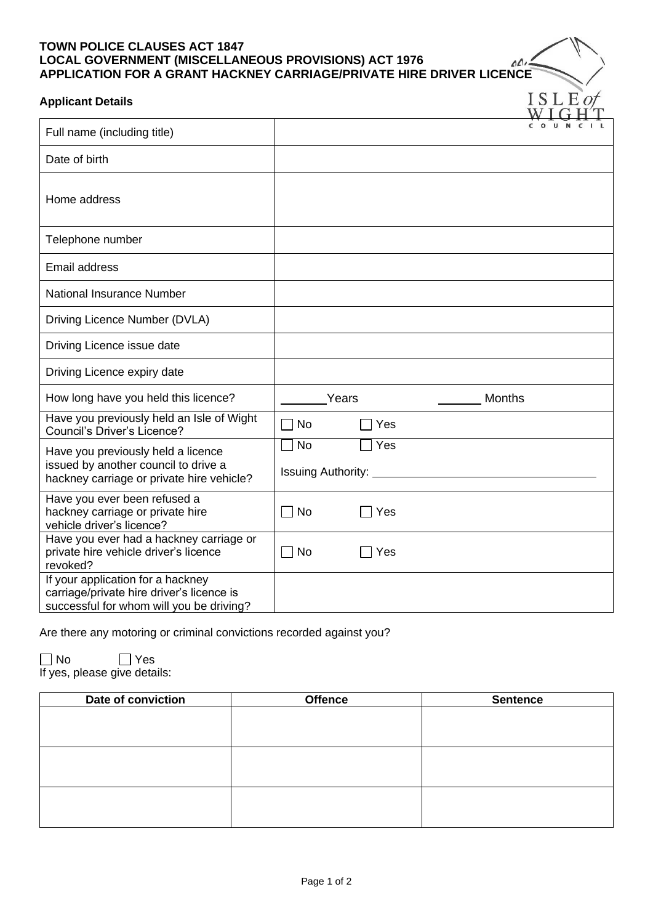## **TOWN POLICE CLAUSES ACT 1847 LOCAL GOVERNMENT (MISCELLANEOUS PROVISIONS) ACT 1976 APPLICATION FOR A GRANT HACKNEY CARRIAGE/PRIVATE HIRE DRIVER LICENCE**

## **Applicant Details**

| <b>Applicant Details</b>                                                                                                   |                           |       |               | ISLEO |
|----------------------------------------------------------------------------------------------------------------------------|---------------------------|-------|---------------|-------|
| Full name (including title)                                                                                                |                           |       |               |       |
| Date of birth                                                                                                              |                           |       |               |       |
| Home address                                                                                                               |                           |       |               |       |
| Telephone number                                                                                                           |                           |       |               |       |
| Email address                                                                                                              |                           |       |               |       |
| National Insurance Number                                                                                                  |                           |       |               |       |
| Driving Licence Number (DVLA)                                                                                              |                           |       |               |       |
| Driving Licence issue date                                                                                                 |                           |       |               |       |
| Driving Licence expiry date                                                                                                |                           |       |               |       |
| How long have you held this licence?                                                                                       |                           | Years | <b>Months</b> |       |
| Have you previously held an Isle of Wight<br>Council's Driver's Licence?                                                   | $\sqcap$ No               | Yes   |               |       |
| Have you previously held a licence                                                                                         | <b>No</b>                 | Yes   |               |       |
| issued by another council to drive a<br>hackney carriage or private hire vehicle?                                          | <b>Issuing Authority:</b> |       |               |       |
| Have you ever been refused a<br>hackney carriage or private hire<br>vehicle driver's licence?                              | $\Box$ No                 | Yes   |               |       |
| Have you ever had a hackney carriage or<br>private hire vehicle driver's licence<br>revoked?                               | $\Box$ No                 | Yes   |               |       |
| If your application for a hackney<br>carriage/private hire driver's licence is<br>successful for whom will you be driving? |                           |       |               |       |

 $\triangle$ 

Are there any motoring or criminal convictions recorded against you?

No Yes

If yes, please give details:

| Date of conviction | <b>Offence</b> | <b>Sentence</b> |  |
|--------------------|----------------|-----------------|--|
|                    |                |                 |  |
|                    |                |                 |  |
|                    |                |                 |  |
|                    |                |                 |  |
|                    |                |                 |  |
|                    |                |                 |  |
|                    |                |                 |  |
|                    |                |                 |  |
|                    |                |                 |  |